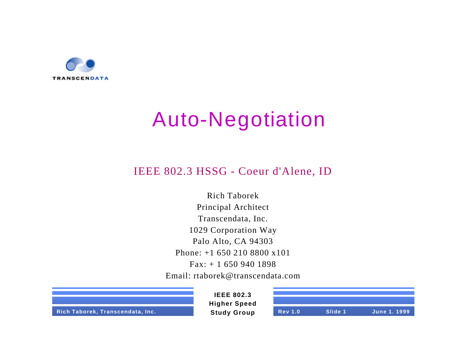

### Auto-Negotiation

#### IEEE 802.3 HSSG - Coeur d'Alene, ID

Rich Taborek Principal Architect Transcendata, Inc. 1029 Corporation Way Palo Alto, CA 94303 Phone: +1 650 210 8800 x101 Fax: + 1 650 940 1898 Email: rtaborek@transcendata.com



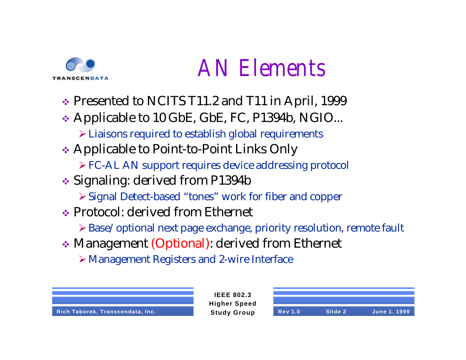

## *AN Elements*

- $\cdot$  Presented to NCITS T11.2 and T11 in April, 1999
- ◆ Applicable to 10 GbE, GbE, FC, P1394b, NGIO... ÿLiaisons required to establish global requirements
- **Ex** Applicable to Point-to-Point Links Only
	- ÿFC-AL AN support requires device addressing protocol
- **◆ Signaling: derived from P1394b** 
	- ÿSignal Detect-based "tones" work for fiber and copper
- v Protocol: derived from Ethernet
	- ÿBase/optional next page exchange, priority resolution, remote fault

**IEEE 802.3**

- v Management (Optional): derived from Ethernet
	- ÿManagement Registers and 2-wire Interface



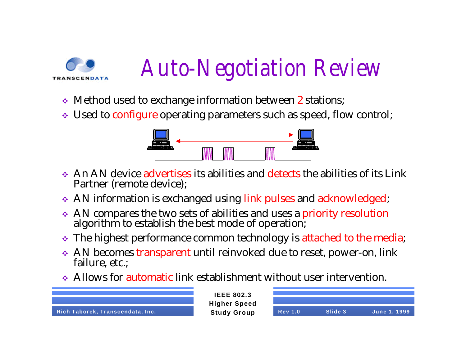

# *Auto-Negotiation Review*

- Method used to exchange information between 2 stations;
- Used to configure operating parameters such as speed, flow control;



- $\bullet$  An AN device advertises its abilities and detects the abilities of its Link Partner (remote device);
- AN information is exchanged using link pulses and acknowledged;
- AN compares the two sets of abilities and uses a priority resolution algorithm to establish the best mode of operation;
- \* The highest performance common technology is attached to the media;
- AN becomes transparent until reinvoked due to reset, power-on, link failure, etc.;
- $\bullet$  Allows for automatic link establishment without user intervention.



| <b>Rev 1.0</b> | Slide 3 | June 1, 1999 |
|----------------|---------|--------------|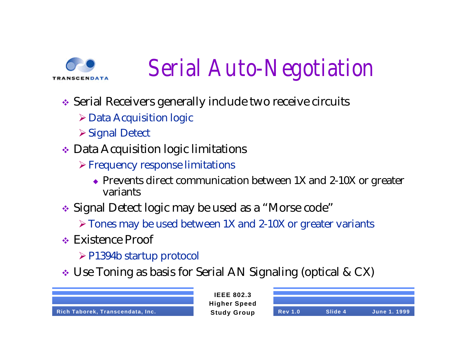

# *Serial Auto-Negotiation*

- Serial Receivers generally include two receive circuits
	- $\triangleright$  Data Acquisition logic
	- **≻Signal Detect**
- $\bullet$  Data Acquisition logic limitations
	- $\triangleright$  Frequency response limitations
		- $\bullet$  Prevents direct communication between 1X and 2-10X or greater variants
- Signal Detect logic may be used as a "Morse code"
	- $\triangleright$  Tones may be used between 1X and 2-10X or greater variants
- $\cdot$  Existence Proof
	- $\triangleright$  P1394b startup protocol
- Use Toning as basis for Serial AN Signaling (optical & CX)

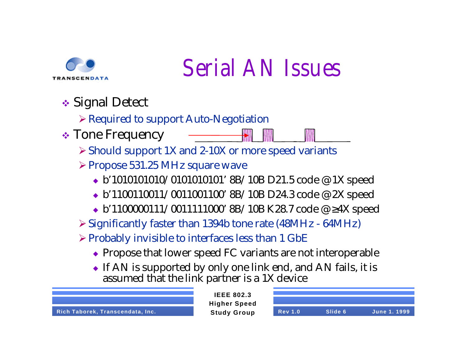

## *Serial AN Issues*

 $\div$  Signal Detect

 $\triangleright$  Required to support Auto-Negotiation

 $\div$  Tone Frequency

ÿShould support 1X and 2-10X or more speed variants

- ÿPropose 531.25 MHz square wave
	- $\bullet$  b'1010101010/010101010101' 8B/10B D21.5 code @ 1X speed
	- $\bullet$  b'1100110011/0011001100' 8B/10B D24.3 code @ 2X speed
	- <sup>u</sup> b'1100000111/0011111000' 8B/10B K28.7 code @ ≥4X speed
- $\geq$  Significantly faster than 1394b tone rate (48MHz 64MHz)
- $\triangleright$  Probably invisible to interfaces less than 1 GbE
	- $\bullet$  Propose that lower speed FC variants are not interoperable
	- $\bullet$  If AN is supported by only one link end, and AN fails, it is assumed that the link partner is a 1X device

**Rich Taborek, Transcendata, Inc. Study Group** 

| <b>Rev 1.0</b> | Slide 6 | <b>June 1. 1999</b> |
|----------------|---------|---------------------|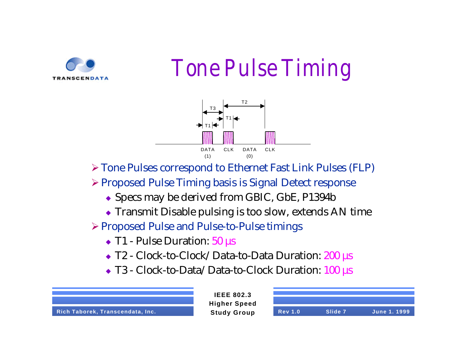

*Tone Pulse Timing*



ÿTone Pulses correspond to Ethernet Fast Link Pulses (FLP)

ÿProposed Pulse Timing basis is Signal Detect response

- Specs may be derived from GBIC, GbE, P1394b
- $\bullet$  Transmit Disable pulsing is too slow, extends AN time

ÿProposed Pulse and Pulse-to-Pulse timings

- $\triangle$  T1 Pulse Duration:  $50 \mu s$
- T2 Clock-to-Clock/Data-to-Data Duration: 200 µs
- T3 Clock-to-Data/Data-to-Clock Duration: 100 µs



| <b>Rev 1.0</b> | Slide 7 | <b>June 1. 1999</b> |
|----------------|---------|---------------------|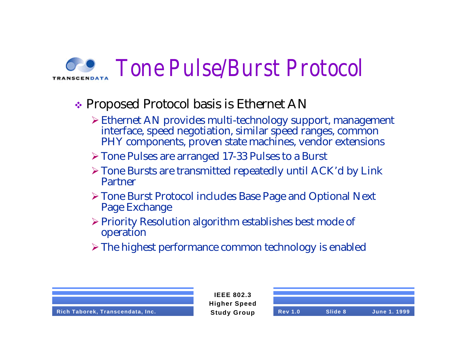### *Tone Pulse/Burst Protocol*

#### $\div$  Proposed Protocol basis is Ethernet AN

- ÿEthernet AN provides multi-technology support, management interface, speed negotiation, similar speed ranges, common PHY components, proven state machines, vendor extensions
- ÿTone Pulses are arranged 17-33 Pulses to a Burst
- $\triangleright$  Tone Bursts are transmitted repeatedly until ACK'd by Link Partner
- ÿTone Burst Protocol includes Base Page and Optional Next Page Exchange
- $\triangleright$  Priority Resolution algorithm establishes best mode of operation
- $\triangleright$  The highest performance common technology is enabled

**IEEE 802.3 Higher Speed**

**Rich Taborek, Transcendata, Inc. Study Group Rev 1.0 Slide 8 June 1. 1999**